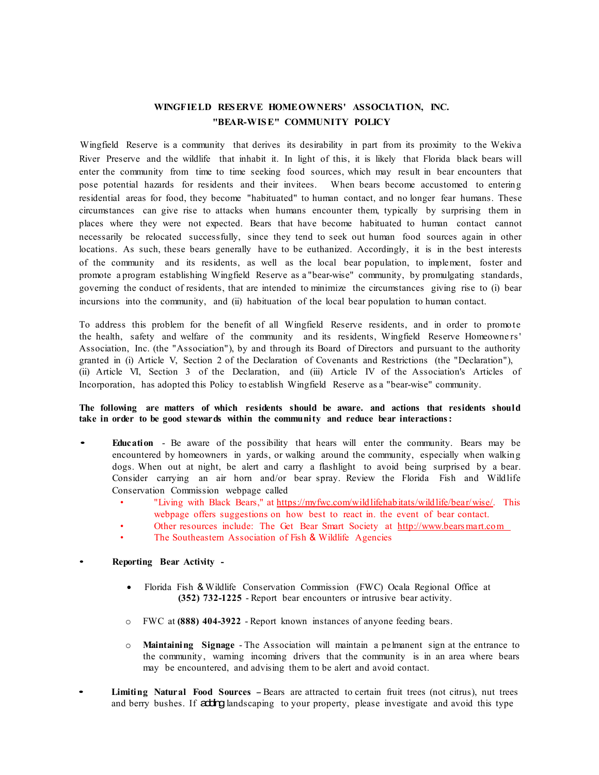## **WINGFIELD RES ERVE HOMEOWNERS' ASSOCIATION, INC. "BEAR-WIS E" COMMUNITY POLICY**

Wingfield Reserve is a community that derives its desirability in part from its proximity to the Wekiva River Preserve and the wildlife that inhabit it. In light of this, it is likely that Florida black bears will enter the community from time to time seeking food sources, which may result in bear encounters that pose potential hazards for residents and their invitees. When bears become accustomed to entering residential areas for food, they become "habituated" to human contact, and no longer fear humans. These circumstances can give rise to attacks when humans encounter them, typically by surprising them in places where they were not expected. Bears that have become habituated to human contact cannot necessarily be relocated successfully, since they tend to seek out human food sources again in other locations. As such, these bears generally have to be euthanized. Accordingly, it is in the best interests of the community and its residents, as well as the local bear population, to implement, foster and promote a program establishing Wingfield Reserve as a "bear-wise" community, by promulgating standards, governing the conduct of residents, that are intended to minimize the circumstances giving rise to (i) bear incursions into the community, and (ii) habituation of the local bear population to human contact.

To address this problem for the benefit of all Wingfield Reserve residents, and in order to promote the health, safety and welfare of the community and its residents, Wingfield Reserve Homeowners' Association, Inc. (the "Association"), by and through its Board of Directors and pursuant to the authority granted in (i) Article V, Section 2 of the Declaration of Covenants and Restrictions (the "Declaration"), (ii) Article VI, Section 3 of the Declaration, and (iii) Article IV of the Association's Articles of Incorporation, has adopted this Policy to establish Wingfield Reserve as a "bear-wise" community.

## **The following are matters of which residents should be aware. and actions that residents should take in order to be good stewards within the community and reduce bear interactions :**

- **Education** Be aware of the possibility that hears will enter the community. Bears may be encountered by homeowners in yards, or walking around the community, especially when walking dogs. When out at night, be alert and carry a flashlight to avoid being surprised by a bear. Consider carrying an air horn and/or bear spray. Review the Florida Fish and Wildlife Conservation Commission webpage called
	- "Living with Black Bears," at [https://myfwc.com/wildlifehabitats/wildlife/bear/wise/.](https://myfwc.com/wildlifehabitats/wildlife/bear/wise/) This webpage offers suggestions on how best to react in. the event of bear contact.
		- Other resources include: The Get Bear Smart Society at http://www.bears mart.com
	- The Southeastern Association of Fish & Wildlife Agencies

## • **Reporting Bear Activity -**

- Florida Fish & Wildlife Conservation Commission (FWC) Ocala Regional Office at **(352) 732-1225** - Report bear encounters or intrusive bear activity.
- o FWC at **(888) 404-3922** Report known instances of anyone feeding bears.
- o **Maintaining Signage** The Association will maintain a pe1manent sign at the entrance to the community, warning incoming drivers that the community is in an area where bears may be encountered, and advising them to be alert and avoid contact.
- **Limiting Natural Food Sources** -Bears are attracted to certain fruit trees (not citrus), nut trees and berry bushes. If adding landscaping to your property, please investigate and avoid this type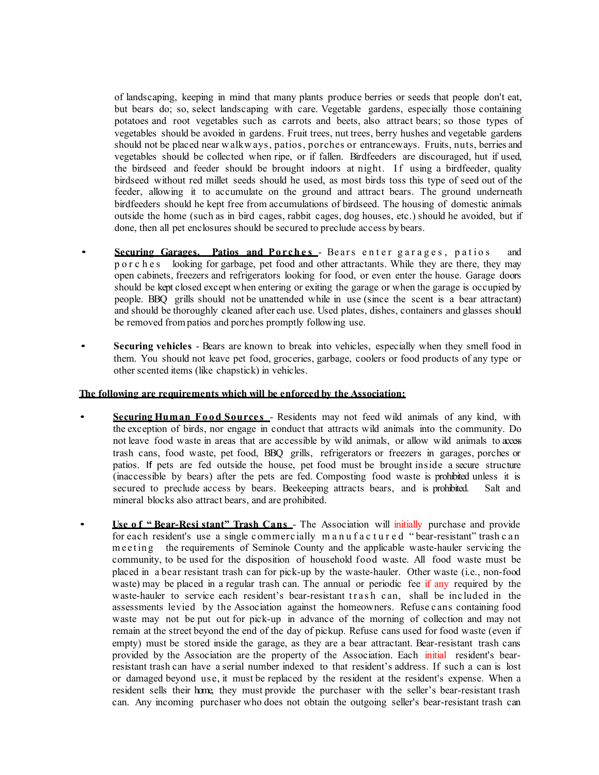of landscaping, keeping in mind that many plants produce berries or seeds that people don't eat, but bears do; so, select landscaping with care. Vegetable gardens, especially those containing potatoes and root vegetables such as carrots and beets, also attract bears; so those types of vegetables should be avoided in gardens. Fruit trees, nut trees, berry hushes and vegetable gardens should not be placed near w alkw ays, patios, porches or entranceways. Fruits, nuts, berries and vegetables should be collected when ripe, or if fallen. Birdfeeders are discouraged, hut if used, the birdseed and feeder should be brought indoors at night. If using a birdfeeder, quality birdseed without red millet seeds should he used, as most birds toss this type of seed out of the feeder, allowing it to accumulate on the ground and attract bears. The ground underneath birdfeeders should he kept free from accumulations of birdseed. The housing of domestic animals outside the home (such as in bird cages, rabbit cages, dog houses, etc.) should he avoided, but if done, then all pet enclosures should be secured to preclude access by bears.

- **Securing Garages. Patios and Porches** Bears enter garages , patios and porches looking for garbage, pet food and other attractants. While they are there, they may open cabinets, freezers and refrigerators looking for food, or even enter the house. Garage doors should be kept closed except when entering or exiting the garage or when the garage is occupied by people. BBQ grills should not be unattended while in use (since the scent is a bear attractant) and should be thoroughly cleaned after each use. Used plates, dishes, containers and glasses should be removed frompatios and porches promptly following use.
- **Securing vehicles** Bears are known to break into vehicles, especially when they smell food in them. You should not leave pet food, groceries, garbage, coolers or food products of any type or other scented items (like chapstick) in vehicles.

## **The following are requirements which will be enforced by the Association:**

- **Securing Human Food Sources** Residents may not feed wild animals of any kind, with the exception of birds, nor engage in conduct that attracts wild animals into the community. Do not leave food waste in areas that are accessible by wild animals, or allow wild animals to access trash cans, food waste, pet food, BBQ grills, refrigerators or freezers in garages, porches or patios. If pets are fed outside the house, pet food must be brought inside a secure structure (inaccessible by bears) after the pets are fed. Composting food waste is prohibited unless it is secured to preclude access by bears. Beekeeping attracts bears, and is prohibited. Salt and mineral blocks also attract bears, and are prohibited.
- **Use o f " Bear-Resi stant" Trash Cans** The Association will initially purchase and provide for each resident's use a single commercially manufactured " bear-resistant" trash can meeting the requirements of Seminole County and the applicable waste-hauler servicing the community, to be used for the disposition of household food waste. All food waste must be placed in a bear resistant trash can for pick-up by the waste-hauler. Other waste (i.e., non-food waste) may be placed in a regular trash can. The annual or periodic fee if any required by the waste-hauler to service each resident's bear-resistant trash can, shall be included in the assessments levied by the Association against the homeowners. Refuse cans containing food waste may not be put out for pick-up in advance of the morning of collection and may not remain at the street beyond the end of the day of pickup. Refuse cans used for food waste (even if empty) must be stored inside the garage, as they are a bear attractant. Bear-resistant trash cans provided by the Association are the property of the Association. Each initial resident's bearresistant trash can have a serial number indexed to that resident's address. If such a can is lost or damaged beyond use, it must be replaced by the resident at the resident's expense. When a resident sells their home, they must provide the purchaser with the seller's bear-resistant trash can. Any incoming purchaser who does not obtain the outgoing seller's bear-resistant trash can